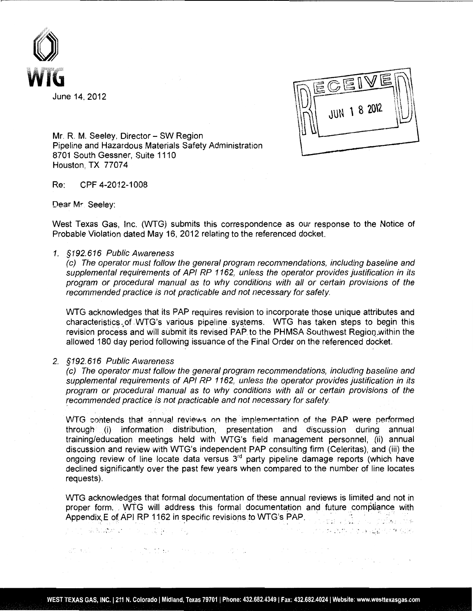



.,

 $\mathcal{A}(\mathcal{L})$  , where  $\mathcal{L}(\mathcal{L})$  is the contribution of  $\mathcal{L}(\mathcal{L})$  , and

Mr. R. M. Seeley, Director - SW Region Pipeline and Hazardous Materials Safety Administration 8701 South Gessner, Suite 1110 Houston, TX 77074

Re: CPF 4-2012-1008

Dear Mr Seeley:

West Texas Gas, Inc. (WTG) submits this correspondence as our response to the Notice of Probable Violation dated May 16, 2012 relating to the referenced docket.

## 1. §192.616 Public Awareness

(c) The operator must follow the general program recommendations, including baseline and supplemental requirements of API RP 1162, unless the operator provides justification in its program or procedural manual as to why conditions with all or certain provisions of the recommended practice is not practicable and not necessary for safety.

WTG acknowledges that its PAP requires revision to incorporate those unique attributes and characteristics. of WTG's various pipeline systems. WTG has taken steps to begin this revision process and will submit its revised PAP to the PHMSA Southwest Region within the allowed 180 day period following issuance of the Final Order on the referenced docket.

## 2. §192.616 Public Awareness

(c) The operator must follow the general program recommendations, including baseline and supplemental requirements of API RP 1162, unless the operator provides justification in its program or procedural manual as to why conditions with all or certain provisions of the recommended practice is not practicable and not necessary for safety.

WTG contends that annual reviews on the implementation of the PAP were performed through . (i) information distribution, presentation and discussion during annual training/education meetings held with WTG's field management personnel, (ii) annual discussion and review with WTG's independent PAP consulting firm (Celeritas), and (iii) the ongoing review of line locate data versus 3<sup>rd</sup> party pipeline damage reports (which have declined significantly over the past few years when compared to the number of line locates requests).

WTG acknowledges that formal documentation of these annual reviews is limited and not in proper form .. wTG will address this formal documentation and future compliance with Appendix, E of API RP 1162 in specific revisions to WTG's PAP.

 $\mu$  and a shall be a set of  $\mu$  ,  $\mu$  and  $\mu$ 

at each in the couplet the company of the company of the company